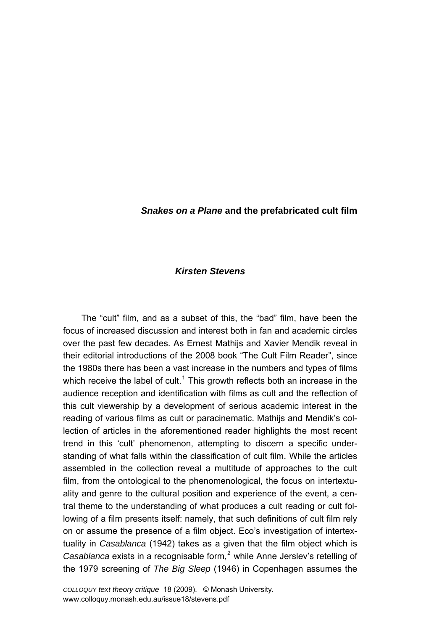## *Snakes on a Plane* **and the prefabricated cult film**

## *Kirsten Stevens*

The "cult" film, and as a subset of this, the "bad" film, have been the focus of increased discussion and interest both in fan and academic circles over the past few decades. As Ernest Mathijs and Xavier Mendik reveal in their editorial introductions of the 2008 book "The Cult Film Reader", since the 1980s there has been a vast increase in the numbers and types of films which receive the label of cult.<sup>[1](#page-12-0)</sup> This growth reflects both an increase in the audience reception and identification with films as cult and the reflection of this cult viewership by a development of serious academic interest in the reading of various films as cult or paracinematic. Mathijs and Mendik's collection of articles in the aforementioned reader highlights the most recent trend in this 'cult' phenomenon, attempting to discern a specific understanding of what falls within the classification of cult film. While the articles assembled in the collection reveal a multitude of approaches to the cult film, from the ontological to the phenomenological, the focus on intertextuality and genre to the cultural position and experience of the event, a central theme to the understanding of what produces a cult reading or cult following of a film presents itself: namely, that such definitions of cult film rely on or assume the presence of a film object. Ecoís investigation of intertextuality in *Casablanca* (1942) takes as a given that the film object which is Casablanca exists in a recognisable form,<sup>[2](#page-12-1)</sup> while Anne Jerslev's retelling of the 1979 screening of *The Big Sleep* (1946) in Copenhagen assumes the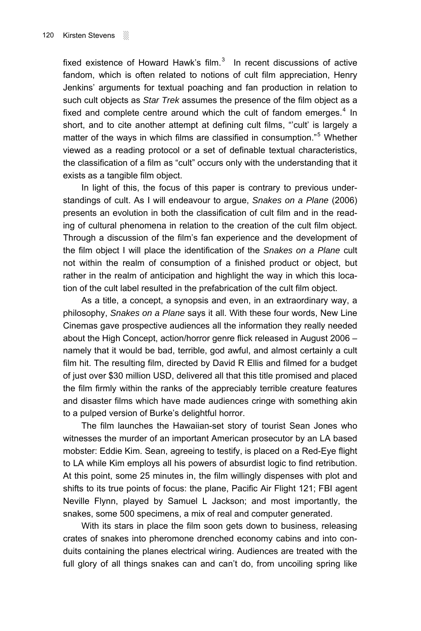fixed existence of Howard Hawk's film. $3$  In recent discussions of active fandom, which is often related to notions of cult film appreciation, Henry Jenkins' arguments for textual poaching and fan production in relation to such cult objects as *Star Trek* assumes the presence of the film object as a fixed and complete centre around which the cult of fandom emerges. $4$  In short, and to cite another attempt at defining cult films, "'cult' is largely a matter of the ways in which films are classified in consumption."<sup>[5](#page-12-1)</sup> Whether viewed as a reading protocol or a set of definable textual characteristics, the classification of a film as "cult" occurs only with the understanding that it exists as a tangible film object.

In light of this, the focus of this paper is contrary to previous understandings of cult. As I will endeavour to argue, *Snakes on a Plane* (2006) presents an evolution in both the classification of cult film and in the reading of cultural phenomena in relation to the creation of the cult film object. Through a discussion of the filmís fan experience and the development of the film object I will place the identification of the *Snakes on a Plane* cult not within the realm of consumption of a finished product or object, but rather in the realm of anticipation and highlight the way in which this location of the cult label resulted in the prefabrication of the cult film object.

As a title, a concept, a synopsis and even, in an extraordinary way, a philosophy, *Snakes on a Plane* says it all. With these four words, New Line Cinemas gave prospective audiences all the information they really needed about the High Concept, action/horror genre flick released in August 2006  $$ namely that it would be bad, terrible, god awful, and almost certainly a cult film hit. The resulting film, directed by David R Ellis and filmed for a budget of just over \$30 million USD, delivered all that this title promised and placed the film firmly within the ranks of the appreciably terrible creature features and disaster films which have made audiences cringe with something akin to a pulped version of Burke's delightful horror.

The film launches the Hawaiian-set story of tourist Sean Jones who witnesses the murder of an important American prosecutor by an LA based mobster: Eddie Kim. Sean, agreeing to testify, is placed on a Red-Eye flight to LA while Kim employs all his powers of absurdist logic to find retribution. At this point, some 25 minutes in, the film willingly dispenses with plot and shifts to its true points of focus: the plane, Pacific Air Flight 121; FBI agent Neville Flynn, played by Samuel L Jackson; and most importantly, the snakes, some 500 specimens, a mix of real and computer generated.

With its stars in place the film soon gets down to business, releasing crates of snakes into pheromone drenched economy cabins and into conduits containing the planes electrical wiring. Audiences are treated with the full glory of all things snakes can and can't do, from uncoiling spring like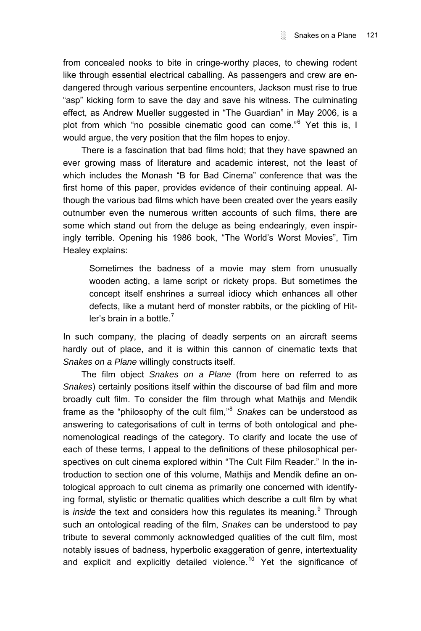from concealed nooks to bite in cringe-worthy places, to chewing rodent like through essential electrical caballing. As passengers and crew are endangered through various serpentine encounters, Jackson must rise to true "asp" kicking form to save the day and save his witness. The culminating effect, as Andrew Mueller suggested in "The Guardian" in May 2006, is a plot from which "no possible cinematic good can come."<sup>[6](#page-12-1)</sup> Yet this is, I would argue, the very position that the film hopes to enjoy.

There is a fascination that bad films hold; that they have spawned an ever growing mass of literature and academic interest, not the least of which includes the Monash "B for Bad Cinema" conference that was the first home of this paper, provides evidence of their continuing appeal. Although the various bad films which have been created over the years easily outnumber even the numerous written accounts of such films, there are some which stand out from the deluge as being endearingly, even inspiringly terrible. Opening his 1986 book, "The World's Worst Movies", Tim Healey explains:

Sometimes the badness of a movie may stem from unusually wooden acting, a lame script or rickety props. But sometimes the concept itself enshrines a surreal idiocy which enhances all other defects, like a mutant herd of monster rabbits, or the pickling of Hitler's brain in a bottle  $<sup>7</sup>$  $<sup>7</sup>$  $<sup>7</sup>$ </sup>

In such company, the placing of deadly serpents on an aircraft seems hardly out of place, and it is within this cannon of cinematic texts that *Snakes on a Plane* willingly constructs itself.

The film object *Snakes on a Plane* (from here on referred to as *Snakes*) certainly positions itself within the discourse of bad film and more broadly cult film. To consider the film through what Mathijs and Mendik frame as the "philosophy of the cult film,"<sup>[8](#page-12-1)</sup> Snakes can be understood as answering to categorisations of cult in terms of both ontological and phenomenological readings of the category. To clarify and locate the use of each of these terms, I appeal to the definitions of these philosophical perspectives on cult cinema explored within "The Cult Film Reader." In the introduction to section one of this volume, Mathijs and Mendik define an ontological approach to cult cinema as primarily one concerned with identifying formal, stylistic or thematic qualities which describe a cult film by what is *inside* the text and considers how this regulates its meaning. <sup>[9](#page-12-1)</sup> Through such an ontological reading of the film, *Snakes* can be understood to pay tribute to several commonly acknowledged qualities of the cult film, most notably issues of badness, hyperbolic exaggeration of genre, intertextuality and explicit and explicitly detailed violence.<sup>[10](#page-12-1)</sup> Yet the significance of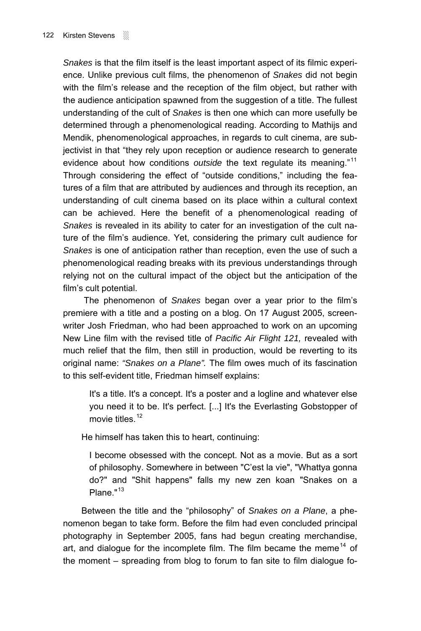*Snakes* is that the film itself is the least important aspect of its filmic experience. Unlike previous cult films, the phenomenon of *Snakes* did not begin with the film's release and the reception of the film object, but rather with the audience anticipation spawned from the suggestion of a title. The fullest understanding of the cult of *Snakes* is then one which can more usefully be determined through a phenomenological reading. According to Mathijs and Mendik, phenomenological approaches, in regards to cult cinema, are subjectivist in that "they rely upon reception or audience research to generate evidence about how conditions *outside* the text regulate its meaning.<sup>"[11](#page-12-1)</sup> Through considering the effect of "outside conditions," including the features of a film that are attributed by audiences and through its reception, an understanding of cult cinema based on its place within a cultural context can be achieved. Here the benefit of a phenomenological reading of *Snakes* is revealed in its ability to cater for an investigation of the cult nature of the filmís audience. Yet, considering the primary cult audience for *Snakes* is one of anticipation rather than reception, even the use of such a phenomenological reading breaks with its previous understandings through relying not on the cultural impact of the object but the anticipation of the film's cult potential.

 The phenomenon of *Snakes* began over a year prior to the filmís premiere with a title and a posting on a blog. On 17 August 2005, screenwriter Josh Friedman, who had been approached to work on an upcoming New Line film with the revised title of *Pacific Air Flight 121,* revealed with much relief that the film, then still in production, would be reverting to its original name: *"Snakes on a Plane".* The film owes much of its fascination to this self-evident title, Friedman himself explains:

It's a title. It's a concept. It's a poster and a logline and whatever else you need it to be. It's perfect. [...] It's the Everlasting Gobstopper of movie titles. $12$ 

He himself has taken this to heart, continuing:

I become obsessed with the concept. Not as a movie. But as a sort of philosophy. Somewhere in between "Cíest la vie", "Whattya gonna do?" and "Shit happens" falls my new zen koan "Snakes on a Plane."<sup>[13](#page-12-1)</sup>

Between the title and the "philosophy" of *Snakes on a Plane*, a phenomenon began to take form. Before the film had even concluded principal photography in September 2005, fans had begun creating merchandise, art, and dialogue for the incomplete film. The film became the meme<sup>[14](#page-12-1)</sup> of the moment – spreading from blog to forum to fan site to film dialogue fo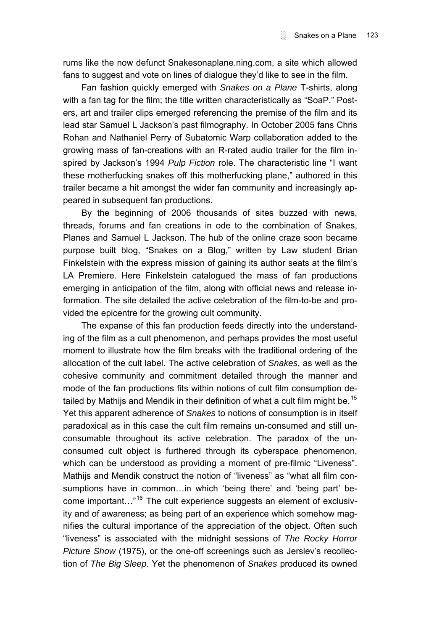rums like the now defunct Snakesonaplane.ning.com, a site which allowed fans to suggest and vote on lines of dialogue they'd like to see in the film.

Fan fashion quickly emerged with *Snakes on a Plane* T-shirts, along with a fan tag for the film; the title written characteristically as "SoaP." Posters, art and trailer clips emerged referencing the premise of the film and its lead star Samuel L Jackson's past filmography. In October 2005 fans Chris Rohan and Nathaniel Perry of Subatomic Warp collaboration added to the growing mass of fan-creations with an R-rated audio trailer for the film inspired by Jackson's 1994 *Pulp Fiction* role. The characteristic line "I want these motherfucking snakes off this motherfucking plane," authored in this trailer became a hit amongst the wider fan community and increasingly appeared in subsequent fan productions.

By the beginning of 2006 thousands of sites buzzed with news, threads, forums and fan creations in ode to the combination of Snakes, Planes and Samuel L Jackson. The hub of the online craze soon became purpose built blog, "Snakes on a Blog," written by Law student Brian Finkelstein with the express mission of gaining its author seats at the film's LA Premiere. Here Finkelstein catalogued the mass of fan productions emerging in anticipation of the film, along with official news and release information. The site detailed the active celebration of the film-to-be and provided the epicentre for the growing cult community.

The expanse of this fan production feeds directly into the understanding of the film as a cult phenomenon, and perhaps provides the most useful moment to illustrate how the film breaks with the traditional ordering of the allocation of the cult label. The active celebration of *Snakes*, as well as the cohesive community and commitment detailed through the manner and mode of the fan productions fits within notions of cult film consumption de-tailed by Mathijs and Mendik in their definition of what a cult film might be.<sup>[15](#page-12-1)</sup> Yet this apparent adherence of *Snakes* to notions of consumption is in itself paradoxical as in this case the cult film remains un-consumed and still unconsumable throughout its active celebration. The paradox of the unconsumed cult object is furthered through its cyberspace phenomenon, which can be understood as providing a moment of pre-filmic "Liveness". Mathijs and Mendik construct the notion of "liveness" as "what all film consumptions have in common...in which 'being there' and 'being part' be-come important...<sup>"[16](#page-12-1)</sup> The cult experience suggests an element of exclusivity and of awareness; as being part of an experience which somehow magnifies the cultural importance of the appreciation of the object. Often such ìlivenessî is associated with the midnight sessions of *The Rocky Horror Picture Show* (1975), or the one-off screenings such as Jerslev's recollection of *The Big Sleep*. Yet the phenomenon of *Snakes* produced its owned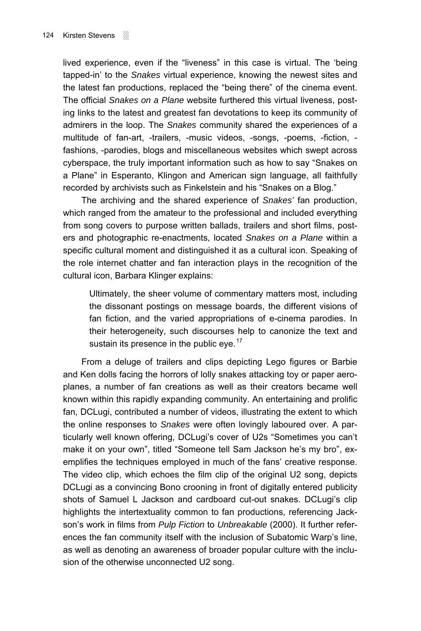lived experience, even if the "liveness" in this case is virtual. The 'being tapped-in<sup>'</sup> to the *Snakes* virtual experience, knowing the newest sites and the latest fan productions, replaced the "being there" of the cinema event. The official *Snakes on a Plane* website furthered this virtual liveness, posting links to the latest and greatest fan devotations to keep its community of admirers in the loop. The *Snakes* community shared the experiences of a multitude of fan-art, -trailers, -music videos, -songs, -poems, -fiction, fashions, -parodies, blogs and miscellaneous websites which swept across cyberspace, the truly important information such as how to say "Snakes on a Plane" in Esperanto, Klingon and American sign language, all faithfully recorded by archivists such as Finkelstein and his "Snakes on a Blog."

The archiving and the shared experience of *Snakes'* fan production, which ranged from the amateur to the professional and included everything from song covers to purpose written ballads, trailers and short films, posters and photographic re-enactments, located *Snakes on a Plane* within a specific cultural moment and distinguished it as a cultural icon. Speaking of the role internet chatter and fan interaction plays in the recognition of the cultural icon, Barbara Klinger explains:

Ultimately, the sheer volume of commentary matters most, including the dissonant postings on message boards, the different visions of fan fiction, and the varied appropriations of e-cinema parodies. In their heterogeneity, such discourses help to canonize the text and sustain its presence in the public eye.<sup>[17](#page-12-1)</sup>

From a deluge of trailers and clips depicting Lego figures or Barbie and Ken dolls facing the horrors of lolly snakes attacking toy or paper aeroplanes, a number of fan creations as well as their creators became well known within this rapidly expanding community. An entertaining and prolific fan, DCLugi, contributed a number of videos, illustrating the extent to which the online responses to *Snakes* were often lovingly laboured over. A particularly well known offering, DCLugi's cover of U2s "Sometimes you can't make it on your own", titled "Someone tell Sam Jackson he's my bro", exemplifies the techniques employed in much of the fans' creative response. The video clip, which echoes the film clip of the original U2 song, depicts DCLugi as a convincing Bono crooning in front of digitally entered publicity shots of Samuel L Jackson and cardboard cut-out snakes. DCLugi's clip highlights the intertextuality common to fan productions, referencing Jacksonís work in films from *Pulp Fiction* to *Unbreakable* (2000). It further references the fan community itself with the inclusion of Subatomic Warpís line, as well as denoting an awareness of broader popular culture with the inclusion of the otherwise unconnected U2 song.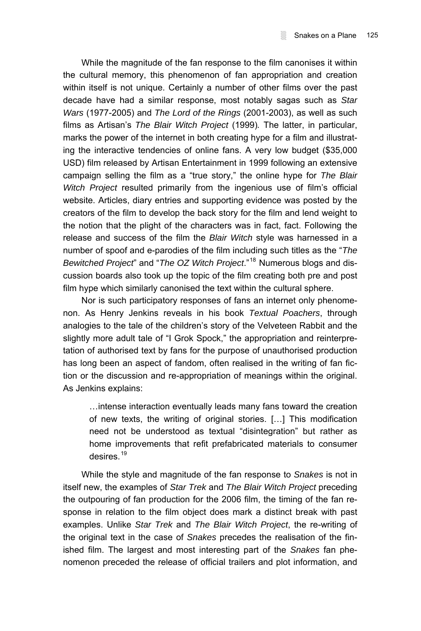While the magnitude of the fan response to the film canonises it within the cultural memory, this phenomenon of fan appropriation and creation within itself is not unique. Certainly a number of other films over the past decade have had a similar response, most notably sagas such as *Star Wars* (1977-2005) and *The Lord of the Rings* (2001-2003), as well as such films as Artisan's *The Blair Witch Project* (1999). The latter, in particular, marks the power of the internet in both creating hype for a film and illustrating the interactive tendencies of online fans. A very low budget (\$35,000 USD) film released by Artisan Entertainment in 1999 following an extensive campaign selling the film as a "true story," the online hype for *The Blair Witch Project* resulted primarily from the ingenious use of film's official website. Articles, diary entries and supporting evidence was posted by the creators of the film to develop the back story for the film and lend weight to the notion that the plight of the characters was in fact, fact. Following the release and success of the film the *Blair Witch* style was harnessed in a number of spoof and e-parodies of the film including such titles as the "The *Bewitched Project*<sup>*n*</sup> and "*The OZ Witch Project*.<sup>"[18](#page-12-1)</sup> Numerous blogs and discussion boards also took up the topic of the film creating both pre and post film hype which similarly canonised the text within the cultural sphere.

Nor is such participatory responses of fans an internet only phenomenon. As Henry Jenkins reveals in his book *Textual Poachers*, through analogies to the tale of the children's story of the Velveteen Rabbit and the slightly more adult tale of "I Grok Spock," the appropriation and reinterpretation of authorised text by fans for the purpose of unauthorised production has long been an aspect of fandom, often realised in the writing of fan fiction or the discussion and re-appropriation of meanings within the original. As Jenkins explains:

... intense interaction eventually leads many fans toward the creation of new texts, the writing of original stories.  $[...]$  This modification need not be understood as textual "disintegration" but rather as home improvements that refit prefabricated materials to consumer desires.[19](#page-12-1)

While the style and magnitude of the fan response to *Snakes* is not in itself new, the examples of *Star Trek* and *The Blair Witch Project* preceding the outpouring of fan production for the 2006 film, the timing of the fan response in relation to the film object does mark a distinct break with past examples. Unlike *Star Trek* and *The Blair Witch Project*, the re-writing of the original text in the case of *Snakes* precedes the realisation of the finished film. The largest and most interesting part of the *Snakes* fan phenomenon preceded the release of official trailers and plot information, and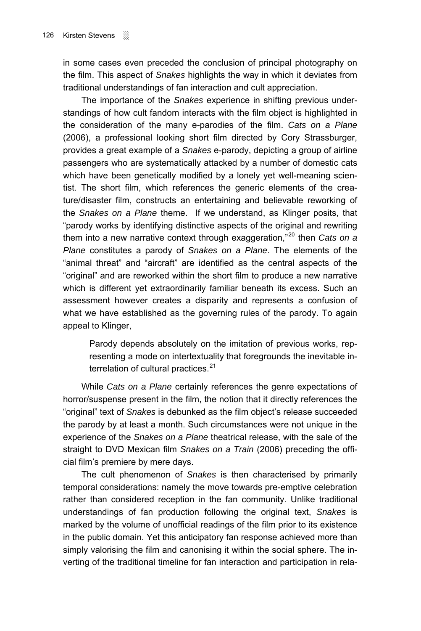in some cases even preceded the conclusion of principal photography on the film. This aspect of *Snakes* highlights the way in which it deviates from traditional understandings of fan interaction and cult appreciation.

The importance of the *Snakes* experience in shifting previous understandings of how cult fandom interacts with the film object is highlighted in the consideration of the many e-parodies of the film. *Cats on a Plane*  (2006), a professional looking short film directed by Cory Strassburger, provides a great example of a *Snakes* e-parody, depicting a group of airline passengers who are systematically attacked by a number of domestic cats which have been genetically modified by a lonely yet well-meaning scientist. The short film, which references the generic elements of the creature/disaster film, constructs an entertaining and believable reworking of the *Snakes on a Plane* theme. If we understand, as Klinger posits, that "parody works by identifying distinctive aspects of the original and rewriting them into a new narrative context through exaggeration,<sup>"[20](#page-12-1)</sup> then *Cats on a Plane* constitutes a parody of *Snakes on a Plane*. The elements of the "animal threat" and "aircraft" are identified as the central aspects of the "original" and are reworked within the short film to produce a new narrative which is different yet extraordinarily familiar beneath its excess. Such an assessment however creates a disparity and represents a confusion of what we have established as the governing rules of the parody. To again appeal to Klinger,

Parody depends absolutely on the imitation of previous works, representing a mode on intertextuality that foregrounds the inevitable interrelation of cultural practices. $21$ 

While *Cats on a Plane* certainly references the genre expectations of horror/suspense present in the film, the notion that it directly references the ìoriginalî text of *Snakes* is debunked as the film objectís release succeeded the parody by at least a month. Such circumstances were not unique in the experience of the *Snakes on a Plane* theatrical release, with the sale of the straight to DVD Mexican film *Snakes on a Train* (2006) preceding the official film's premiere by mere days.

The cult phenomenon of *Snakes* is then characterised by primarily temporal considerations: namely the move towards pre-emptive celebration rather than considered reception in the fan community. Unlike traditional understandings of fan production following the original text, *Snakes* is marked by the volume of unofficial readings of the film prior to its existence in the public domain. Yet this anticipatory fan response achieved more than simply valorising the film and canonising it within the social sphere. The inverting of the traditional timeline for fan interaction and participation in rela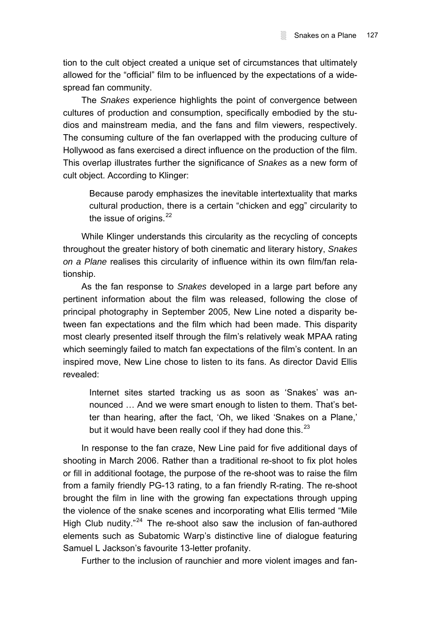tion to the cult object created a unique set of circumstances that ultimately allowed for the "official" film to be influenced by the expectations of a widespread fan community.

The *Snakes* experience highlights the point of convergence between cultures of production and consumption, specifically embodied by the studios and mainstream media, and the fans and film viewers, respectively. The consuming culture of the fan overlapped with the producing culture of Hollywood as fans exercised a direct influence on the production of the film. This overlap illustrates further the significance of *Snakes* as a new form of cult object. According to Klinger:

Because parody emphasizes the inevitable intertextuality that marks cultural production, there is a certain "chicken and egg" circularity to the issue of origins.<sup>[22](#page-12-1)</sup>

While Klinger understands this circularity as the recycling of concepts throughout the greater history of both cinematic and literary history, *Snakes on a Plane* realises this circularity of influence within its own film/fan relationship.

As the fan response to *Snakes* developed in a large part before any pertinent information about the film was released, following the close of principal photography in September 2005, New Line noted a disparity between fan expectations and the film which had been made. This disparity most clearly presented itself through the film's relatively weak MPAA rating which seemingly failed to match fan expectations of the film's content. In an inspired move, New Line chose to listen to its fans. As director David Ellis revealed:

Internet sites started tracking us as soon as 'Snakes' was announced ... And we were smart enough to listen to them. That's better than hearing, after the fact, 'Oh, we liked 'Snakes on a Plane,' but it would have been really cool if they had done this.<sup>[23](#page-12-1)</sup>

In response to the fan craze, New Line paid for five additional days of shooting in March 2006. Rather than a traditional re-shoot to fix plot holes or fill in additional footage, the purpose of the re-shoot was to raise the film from a family friendly PG-13 rating, to a fan friendly R-rating. The re-shoot brought the film in line with the growing fan expectations through upping the violence of the snake scenes and incorporating what Ellis termed "Mile" High Club nudity. $124$  $124$  The re-shoot also saw the inclusion of fan-authored elements such as Subatomic Warp's distinctive line of dialogue featuring Samuel L Jackson's favourite 13-letter profanity.

Further to the inclusion of raunchier and more violent images and fan-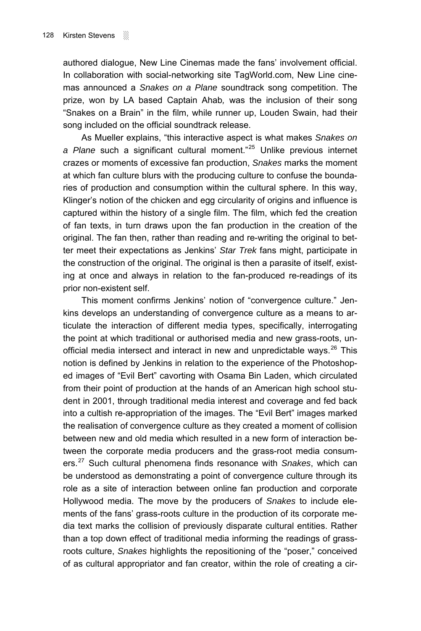authored dialogue. New Line Cinemas made the fans' involvement official. In collaboration with social-networking site TagWorld.com, New Line cinemas announced a *Snakes on a Plane* soundtrack song competition. The prize, won by LA based Captain Ahab*,* was the inclusion of their song "Snakes on a Brain" in the film, while runner up, Louden Swain, had their song included on the official soundtrack release.

As Mueller explains, "this interactive aspect is what makes *Snakes on* a Plane such a significant cultural moment.<sup>[25](#page-12-1)</sup> Unlike previous internet crazes or moments of excessive fan production, *Snakes* marks the moment at which fan culture blurs with the producing culture to confuse the boundaries of production and consumption within the cultural sphere. In this way, Klinger's notion of the chicken and egg circularity of origins and influence is captured within the history of a single film. The film, which fed the creation of fan texts, in turn draws upon the fan production in the creation of the original. The fan then, rather than reading and re-writing the original to better meet their expectations as Jenkinsí *Star Trek* fans might, participate in the construction of the original. The original is then a parasite of itself, existing at once and always in relation to the fan-produced re-readings of its prior non-existent self.

This moment confirms Jenkins' notion of "convergence culture." Jenkins develops an understanding of convergence culture as a means to articulate the interaction of different media types, specifically, interrogating the point at which traditional or authorised media and new grass-roots, unofficial media intersect and interact in new and unpredictable ways. $^{26}$  $^{26}$  $^{26}$  This notion is defined by Jenkins in relation to the experience of the Photoshoped images of "Evil Bert" cavorting with Osama Bin Laden, which circulated from their point of production at the hands of an American high school student in 2001, through traditional media interest and coverage and fed back into a cultish re-appropriation of the images. The "Evil Bert" images marked the realisation of convergence culture as they created a moment of collision between new and old media which resulted in a new form of interaction between the corporate media producers and the grass-root media consumers.[27](#page-12-1) Such cultural phenomena finds resonance with *Snakes*, which can be understood as demonstrating a point of convergence culture through its role as a site of interaction between online fan production and corporate Hollywood media. The move by the producers of *Snakes* to include elements of the fansí grass-roots culture in the production of its corporate media text marks the collision of previously disparate cultural entities. Rather than a top down effect of traditional media informing the readings of grassroots culture, *Snakes* highlights the repositioning of the "poser," conceived of as cultural appropriator and fan creator, within the role of creating a cir-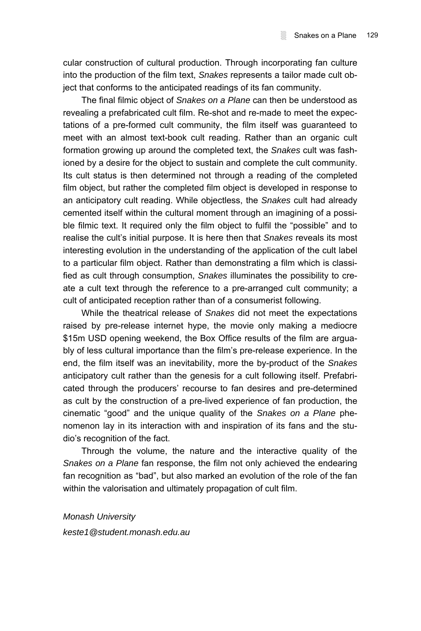cular construction of cultural production. Through incorporating fan culture into the production of the film text, *Snakes* represents a tailor made cult object that conforms to the anticipated readings of its fan community.

The final filmic object of *Snakes on a Plane* can then be understood as revealing a prefabricated cult film. Re-shot and re-made to meet the expectations of a pre-formed cult community, the film itself was guaranteed to meet with an almost text-book cult reading. Rather than an organic cult formation growing up around the completed text, the *Snakes* cult was fashioned by a desire for the object to sustain and complete the cult community. Its cult status is then determined not through a reading of the completed film object, but rather the completed film object is developed in response to an anticipatory cult reading. While objectless, the *Snakes* cult had already cemented itself within the cultural moment through an imagining of a possible filmic text. It required only the film object to fulfil the "possible" and to realise the cult's initial purpose. It is here then that *Snakes* reveals its most interesting evolution in the understanding of the application of the cult label to a particular film object. Rather than demonstrating a film which is classified as cult through consumption, *Snakes* illuminates the possibility to create a cult text through the reference to a pre-arranged cult community; a cult of anticipated reception rather than of a consumerist following.

While the theatrical release of *Snakes* did not meet the expectations raised by pre-release internet hype, the movie only making a mediocre \$15m USD opening weekend, the Box Office results of the film are arguably of less cultural importance than the filmís pre-release experience. In the end, the film itself was an inevitability, more the by-product of the *Snakes*  anticipatory cult rather than the genesis for a cult following itself. Prefabricated through the producersí recourse to fan desires and pre-determined as cult by the construction of a pre-lived experience of fan production, the cinematic "good" and the unique quality of the *Snakes on a Plane* phenomenon lay in its interaction with and inspiration of its fans and the studioís recognition of the fact.

Through the volume, the nature and the interactive quality of the *Snakes on a Plane* fan response, the film not only achieved the endearing fan recognition as "bad", but also marked an evolution of the role of the fan within the valorisation and ultimately propagation of cult film.

## *Monash University*

*keste1@student.monash.edu.au*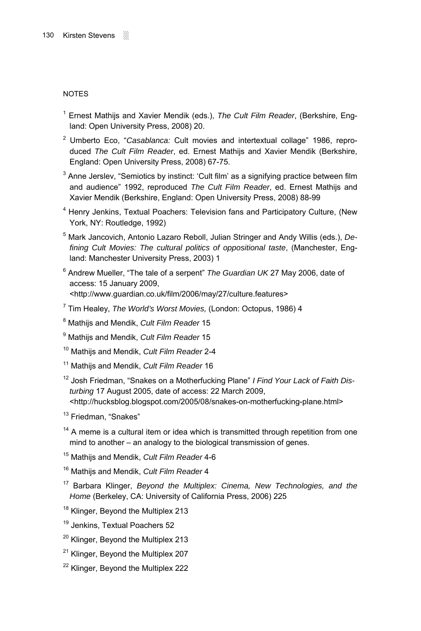## NOTES

- <sup>1</sup> Ernest Mathijs and Xavier Mendik (eds.), The Cult Film Reader, (Berkshire, England: Open University Press, 2008) 20.
- <sup>2</sup> Umberto Eco, "Casablanca: Cult movies and intertextual collage" 1986, reproduced *The Cult Film Reader*, ed. Ernest Mathijs and Xavier Mendik (Berkshire, England: Open University Press, 2008) 67-75.
- $3$  Anne Jerslev, "Semiotics by instinct: 'Cult film' as a signifying practice between film and audienceî 1992, reproduced *The Cult Film Reader*, ed. Ernest Mathijs and Xavier Mendik (Berkshire, England: Open University Press, 2008) 88-99
- <sup>4</sup> Henry Jenkins, Textual Poachers: Television fans and Participatory Culture, (New York, NY: Routledge, 1992)
- 5 Mark Jancovich, Antonio Lazaro Reboll, Julian Stringer and Andy Willis (eds.), *Defining Cult Movies: The cultural politics of oppositional taste*, (Manchester, England: Manchester University Press, 2003) 1
- <sup>6</sup> Andrew Mueller, "The tale of a serpent" The Guardian UK 27 May 2006, date of access: 15 January 2009, <http://www.guardian.co.uk/film/2006/may/27/culture.features>
- 7 Tim Healey, *The World's Worst Movies,* (London: Octopus, 1986) 4
- 8 Mathijs and Mendik, *Cult Film Reader* 15
- 9 Mathijs and Mendik, *Cult Film Reader* 15
- 10 Mathijs and Mendik, *Cult Film Reader* 2-4
- 11 Mathijs and Mendik, *Cult Film Reader* 16
- <sup>12</sup> Josh Friedman, "Snakes on a Motherfucking Plane" *I Find Your Lack of Faith Disturbing* 17 August 2005, date of access: 22 March 2009,
	- <http://hucksblog.blogspot.com/2005/08/snakes-on-motherfucking-plane.html>
- $13$  Friedman, "Snakes"
- $14$  A meme is a cultural item or idea which is transmitted through repetition from one mind to another  $-$  an analogy to the biological transmission of genes.
- 15 Mathijs and Mendik, *Cult Film Reader* 4-6
- 16 Mathijs and Mendik, *Cult Film Reader* 4
- 17 Barbara Klinger, *Beyond the Multiplex: Cinema, New Technologies, and the Home* (Berkeley, CA: University of California Press, 2006) 225
- <sup>18</sup> Klinger, Beyond the Multiplex 213
- <sup>19</sup> Jenkins, Textual Poachers 52
- <sup>20</sup> Klinger, Beyond the Multiplex 213
- <sup>21</sup> Klinger, Beyond the Multiplex 207
- <sup>22</sup> Klinger, Beyond the Multiplex 222